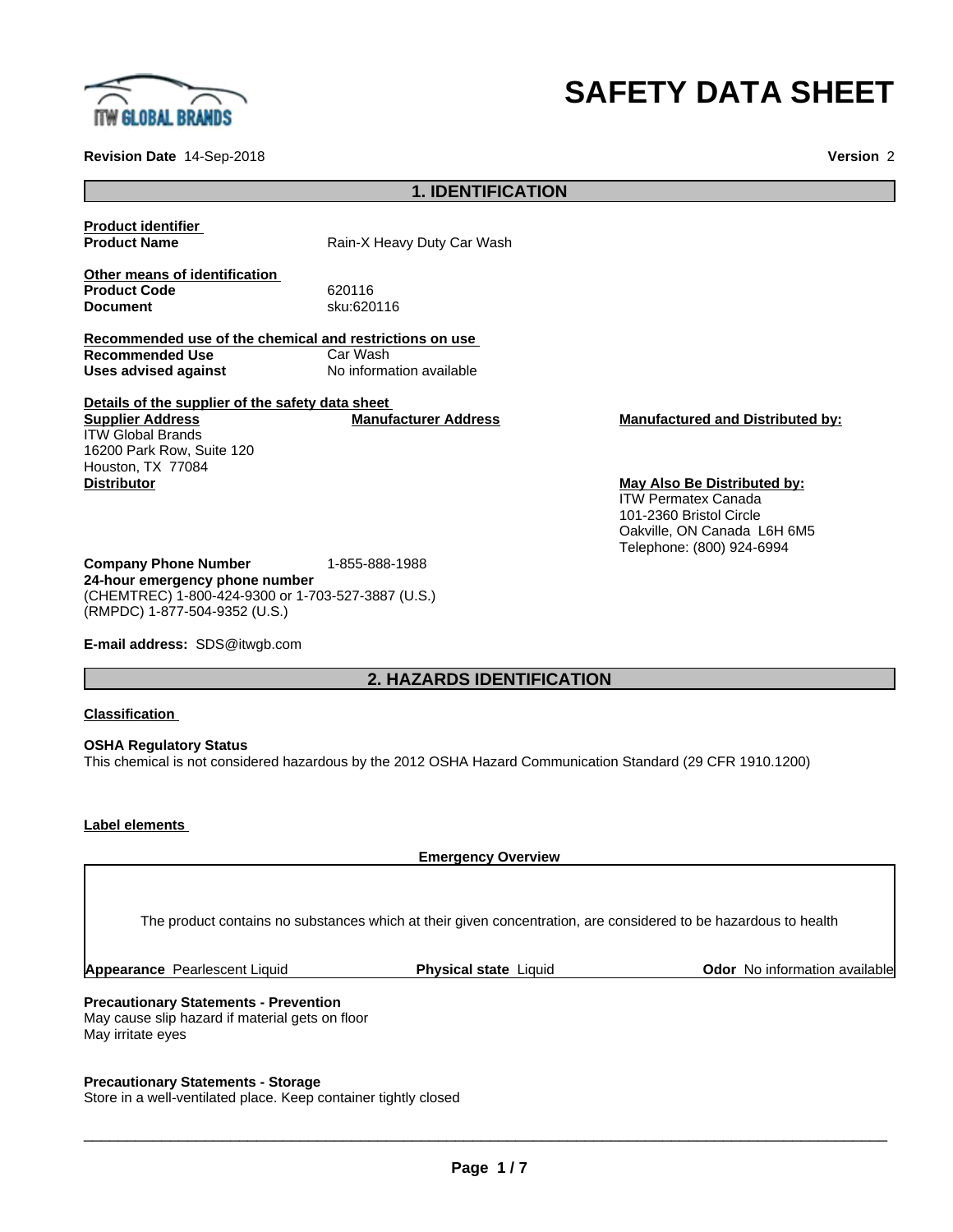

# **SAFETY DATA SHEET**

**Revision Date** 14-Sep-2018 **Version** 2

# **1. IDENTIFICATION**

**Product identifier**

**Product Name** Rain-X Heavy Duty Car Wash

**Other means of identification Product Code** 620116<br> **Document** sku:620

**Document** sku:620116

**Recommended use of the chemical and restrictions on use Recommended Use**<br>Uses advised against **No information available** 

**Details of the supplier of the safety data sheet Supplier Address** ITW Global Brands 16200 Park Row, Suite 120 Houston, TX 77084 **Distributor May Also Be Distributed by:**

**Company Phone Number** 1-855-888-1988 **24-hour emergency phone number** (CHEMTREC) 1-800-424-9300 or 1-703-527-3887 (U.S.)

(RMPDC) 1-877-504-9352 (U.S.) **E-mail address:** SDS@itwgb.com

# **2. HAZARDS IDENTIFICATION**

## **Classification**

**OSHA Regulatory Status** This chemical is not considered hazardous by the 2012 OSHA Hazard Communication Standard (29 CFR 1910.1200)

## **Label elements**

**Emergency Overview Precautionary Statements - Prevention** The product contains no substances which at their given concentration, are considered to be hazardous to health **Appearance** Pearlescent Liquid **Physical state** Liquid **Odor** No information available

May cause slip hazard if material gets on floor May irritate eyes

# **Precautionary Statements - Storage**

Store in a well-ventilated place. Keep container tightly closed

 $\overline{\phantom{a}}$  ,  $\overline{\phantom{a}}$  ,  $\overline{\phantom{a}}$  ,  $\overline{\phantom{a}}$  ,  $\overline{\phantom{a}}$  ,  $\overline{\phantom{a}}$  ,  $\overline{\phantom{a}}$  ,  $\overline{\phantom{a}}$  ,  $\overline{\phantom{a}}$  ,  $\overline{\phantom{a}}$  ,  $\overline{\phantom{a}}$  ,  $\overline{\phantom{a}}$  ,  $\overline{\phantom{a}}$  ,  $\overline{\phantom{a}}$  ,  $\overline{\phantom{a}}$  ,  $\overline{\phantom{a}}$ 

**Manufacturer Address Manufactured and Distributed by:**

ITW Permatex Canada 101-2360 Bristol Circle Oakville, ON Canada L6H 6M5 Telephone: (800) 924-6994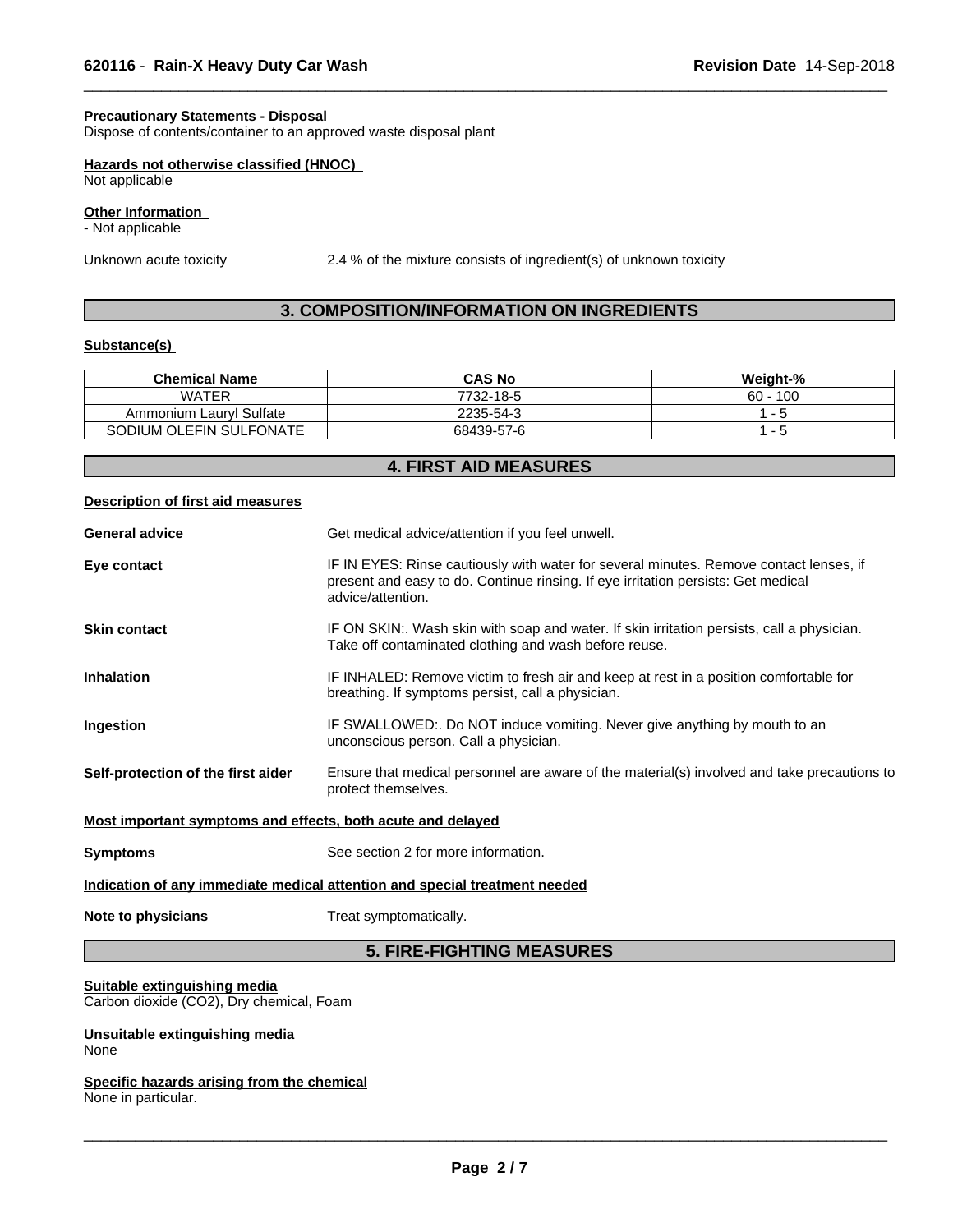# **Precautionary Statements - Disposal**

Dispose of contents/container to an approved waste disposal plant

# **Hazards not otherwise classified (HNOC)**

Not applicable

# **Other Information**

- Not applicable

Unknown acute toxicity 2.4 % of the mixture consists of ingredient(s) of unknown toxicity

 $\overline{\phantom{a}}$  ,  $\overline{\phantom{a}}$  ,  $\overline{\phantom{a}}$  ,  $\overline{\phantom{a}}$  ,  $\overline{\phantom{a}}$  ,  $\overline{\phantom{a}}$  ,  $\overline{\phantom{a}}$  ,  $\overline{\phantom{a}}$  ,  $\overline{\phantom{a}}$  ,  $\overline{\phantom{a}}$  ,  $\overline{\phantom{a}}$  ,  $\overline{\phantom{a}}$  ,  $\overline{\phantom{a}}$  ,  $\overline{\phantom{a}}$  ,  $\overline{\phantom{a}}$  ,  $\overline{\phantom{a}}$ 

# **3. COMPOSITION/INFORMATION ON INGREDIENTS**

# **Substance(s)**

| <b>Chemical Name</b>    | <b>CAS No</b> | Weight-%      |
|-------------------------|---------------|---------------|
| WATER                   | 7732-18-5     | 100<br>$60 -$ |
| Ammonium Lauryl Sulfate | 2235-54-3     |               |
| SODIUM OLEFIN SULFONATE | 68439-57-6    |               |

|                                                             | <b>4. FIRST AID MEASURES</b>                                                                                                                                                                     |
|-------------------------------------------------------------|--------------------------------------------------------------------------------------------------------------------------------------------------------------------------------------------------|
| <b>Description of first aid measures</b>                    |                                                                                                                                                                                                  |
| <b>General advice</b>                                       | Get medical advice/attention if you feel unwell.                                                                                                                                                 |
| Eye contact                                                 | IF IN EYES: Rinse cautiously with water for several minutes. Remove contact lenses, if<br>present and easy to do. Continue rinsing. If eye irritation persists: Get medical<br>advice/attention. |
| <b>Skin contact</b>                                         | IF ON SKIN:. Wash skin with soap and water. If skin irritation persists, call a physician.<br>Take off contaminated clothing and wash before reuse.                                              |
| <b>Inhalation</b>                                           | IF INHALED: Remove victim to fresh air and keep at rest in a position comfortable for<br>breathing. If symptoms persist, call a physician.                                                       |
| Ingestion                                                   | IF SWALLOWED:. Do NOT induce vomiting. Never give anything by mouth to an<br>unconscious person. Call a physician.                                                                               |
| Self-protection of the first aider                          | Ensure that medical personnel are aware of the material(s) involved and take precautions to<br>protect themselves.                                                                               |
| Most important symptoms and effects, both acute and delayed |                                                                                                                                                                                                  |
| <b>Symptoms</b>                                             | See section 2 for more information.                                                                                                                                                              |
|                                                             | Indication of any immediate medical attention and special treatment needed                                                                                                                       |
| Note to physicians                                          | Treat symptomatically.                                                                                                                                                                           |
|                                                             | <b>5. FIRE-FIGHTING MEASURES</b>                                                                                                                                                                 |

# **Suitable extinguishing media**

Carbon dioxide (CO2), Dry chemical, Foam

#### **Unsuitable extinguishing media** None

**Specific hazards arising from the chemical** None in particular.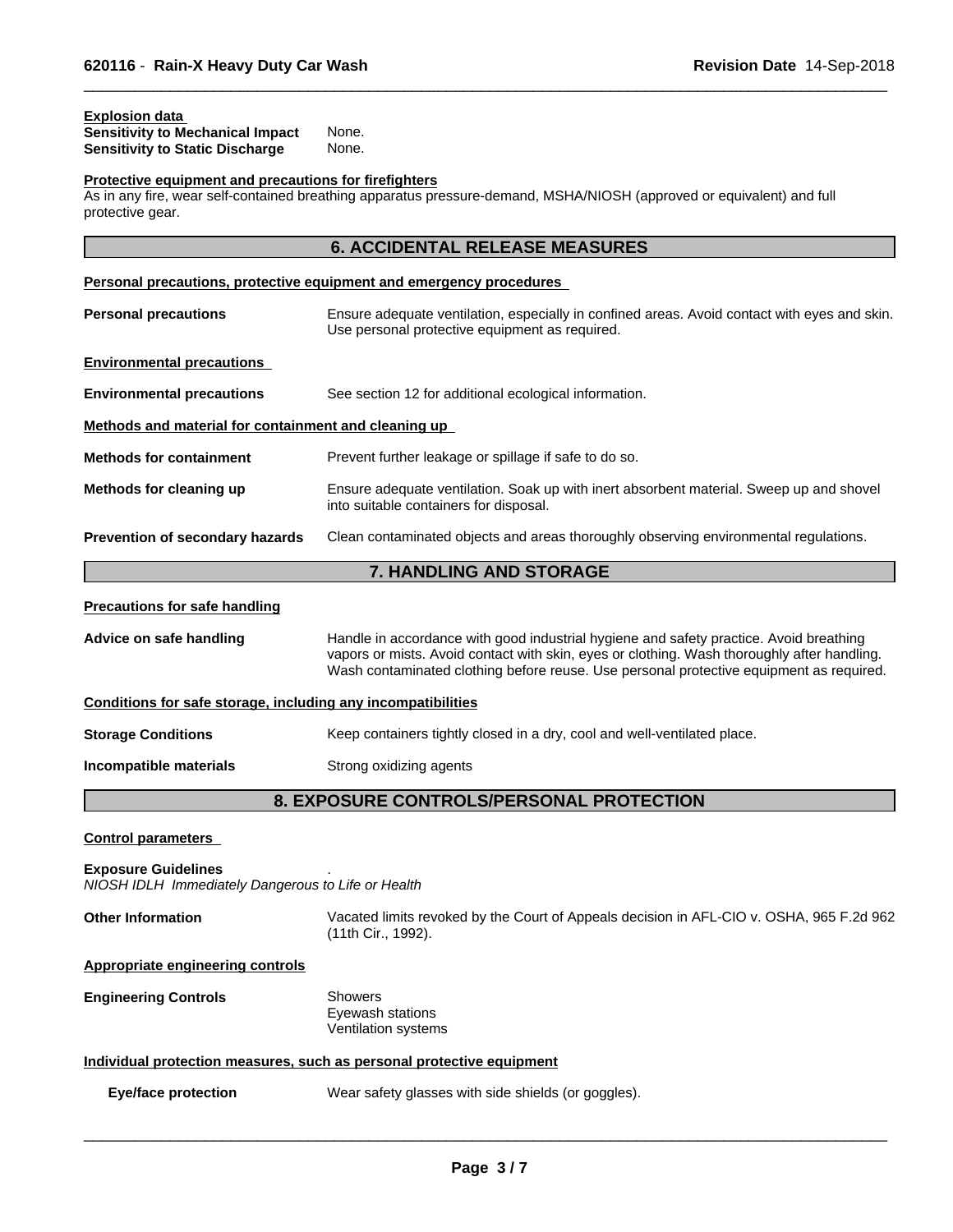## **Explosion data**

| <b>Sensitivity to Mechanical Impact</b> | None. |
|-----------------------------------------|-------|
| <b>Sensitivity to Static Discharge</b>  | None. |

# **Protective equipment and precautions for firefighters**

 $\sim$  11th fire, wearened breath H2OIIN/AH2M breather any self-contained by protective gear.

 $\overline{\phantom{a}}$  ,  $\overline{\phantom{a}}$  ,  $\overline{\phantom{a}}$  ,  $\overline{\phantom{a}}$  ,  $\overline{\phantom{a}}$  ,  $\overline{\phantom{a}}$  ,  $\overline{\phantom{a}}$  ,  $\overline{\phantom{a}}$  ,  $\overline{\phantom{a}}$  ,  $\overline{\phantom{a}}$  ,  $\overline{\phantom{a}}$  ,  $\overline{\phantom{a}}$  ,  $\overline{\phantom{a}}$  ,  $\overline{\phantom{a}}$  ,  $\overline{\phantom{a}}$  ,  $\overline{\phantom{a}}$ 

| protective gear.                                             |                                                                                                                                                                                                                                                                                  |  |
|--------------------------------------------------------------|----------------------------------------------------------------------------------------------------------------------------------------------------------------------------------------------------------------------------------------------------------------------------------|--|
|                                                              | <b>6. ACCIDENTAL RELEASE MEASURES</b>                                                                                                                                                                                                                                            |  |
|                                                              | Personal precautions, protective equipment and emergency procedures                                                                                                                                                                                                              |  |
| <b>Personal precautions</b>                                  | Ensure adequate ventilation, especially in confined areas. Avoid contact with eyes and skin.<br>Use personal protective equipment as required.                                                                                                                                   |  |
| <b>Environmental precautions</b>                             |                                                                                                                                                                                                                                                                                  |  |
| <b>Environmental precautions</b>                             | See section 12 for additional ecological information.                                                                                                                                                                                                                            |  |
| Methods and material for containment and cleaning up         |                                                                                                                                                                                                                                                                                  |  |
| <b>Methods for containment</b>                               | Prevent further leakage or spillage if safe to do so.                                                                                                                                                                                                                            |  |
| Methods for cleaning up                                      | Ensure adequate ventilation. Soak up with inert absorbent material. Sweep up and shovel<br>into suitable containers for disposal.                                                                                                                                                |  |
| <b>Prevention of secondary hazards</b>                       | Clean contaminated objects and areas thoroughly observing environmental regulations.                                                                                                                                                                                             |  |
|                                                              | 7. HANDLING AND STORAGE                                                                                                                                                                                                                                                          |  |
| <b>Precautions for safe handling</b>                         |                                                                                                                                                                                                                                                                                  |  |
| Advice on safe handling                                      | Handle in accordance with good industrial hygiene and safety practice. Avoid breathing<br>vapors or mists. Avoid contact with skin, eyes or clothing. Wash thoroughly after handling.<br>Wash contaminated clothing before reuse. Use personal protective equipment as required. |  |
| Conditions for safe storage, including any incompatibilities |                                                                                                                                                                                                                                                                                  |  |
|                                                              |                                                                                                                                                                                                                                                                                  |  |

**Storage Conditions** Keep containers tightly closed in a dry, cool and well-ventilated place.

## **Incompatible materials** Strong oxidizing agents

# **8. EXPOSURE CONTROLS/PERSONAL PROTECTION**

**Control parameters**

**Exposure Guidelines** .

*NIOSH IDLH Immediately Dangerous to Life or Health*

| <b>Other Information</b>                | Vacated limits revoked by the Court of Appeals decision in AFL-CIO v. OSHA, 965 F.2d 962<br>(11th Cir., 1992). |
|-----------------------------------------|----------------------------------------------------------------------------------------------------------------|
| <b>Appropriate engineering controls</b> |                                                                                                                |

**Engineering Controls** Showers

Eyewash stations Ventilation systems

# **Individual protection measures, such as personal protective equipment**

**Eye/face protection** Wear safety glasses with side shields (or goggles).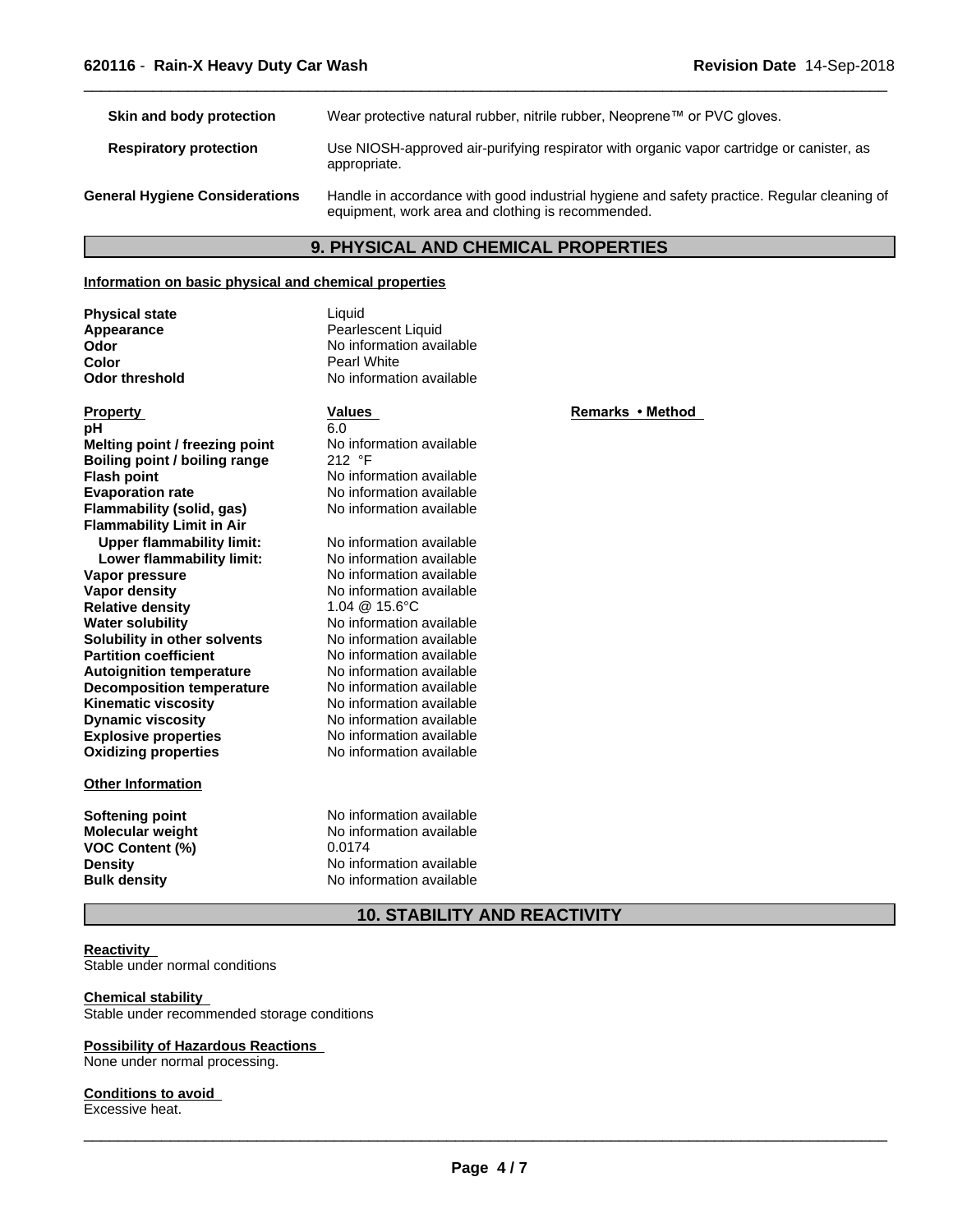**Skin and body protection** Wear protective natural rubber, nitrile rubber, Neoprene™ or PVC gloves. **Respiratory protection** Use NIOSH-approved air-purifying respirator with organic vapor cartridge or canister, as appropriate. **General Hygiene Considerations** Handle in accordance with good industrial hygiene and safety practice. Regular cleaning of equipment, work area and clothing is recommended.

 $\overline{\phantom{a}}$  ,  $\overline{\phantom{a}}$  ,  $\overline{\phantom{a}}$  ,  $\overline{\phantom{a}}$  ,  $\overline{\phantom{a}}$  ,  $\overline{\phantom{a}}$  ,  $\overline{\phantom{a}}$  ,  $\overline{\phantom{a}}$  ,  $\overline{\phantom{a}}$  ,  $\overline{\phantom{a}}$  ,  $\overline{\phantom{a}}$  ,  $\overline{\phantom{a}}$  ,  $\overline{\phantom{a}}$  ,  $\overline{\phantom{a}}$  ,  $\overline{\phantom{a}}$  ,  $\overline{\phantom{a}}$ 

# **9. PHYSICAL AND CHEMICAL PROPERTIES**

#### **Information on basic physical and chemical properties**

**Physical state** Liquid **Color** Pearl White

**Appearance Pearlescent Liquid**<br> **Odor No** information ava **No information available Odor threshold** No information available

# **Explosive properties**<br> **Oxidizing properties**<br>
No information available **Other Information Property Remarks • Method Property Remarks • Method pH** 6.0 **Melting point / freezing point** No information available<br> **Boiling point / boiling range** 212 °F **Boiling point / boiling range Flash point** No information available **Evaporation rate** No information available **Flammability (solid, gas)** No information available **Flammability Limit in Air Upper flammability limit:** No information available **Lower flammability limit:** No information available **Vapor pressure** No information available<br> **Vapor density**<br>
No information available **Relative density**<br>Water solubility **Solubility in other solvents** No information available **Partition coefficient**<br> **Autoignition temperature**<br>
No information available<br>
No information available **Autoignition temperature No information available**<br> **Decomposition temperature No information available Decomposition temperature** No information available<br>**Kinematic viscosity** No information available **Kinematic viscosity Dynamic viscosity** No information available

**VOC Content (%)** 0.0174<br>Density No info

**Oxidizing properties** No information available **No information available**<br>1.04 @ 15.6°C **No information available** 

**Softening point**<br> **Molecular weight**<br> **Molecular weight**<br> **Molecular weight**<br> **Molecular weight No information available Density Density Density No information available Bulk density No information available No information available** 

**10. STABILITY AND REACTIVITY**

#### **Reactivity**

Stable under normal conditions

# **Chemical stability**

Stable under recommended storage conditions

#### **Possibility of Hazardous Reactions**

None under normal processing.

#### **Conditions to avoid**

Excessive heat.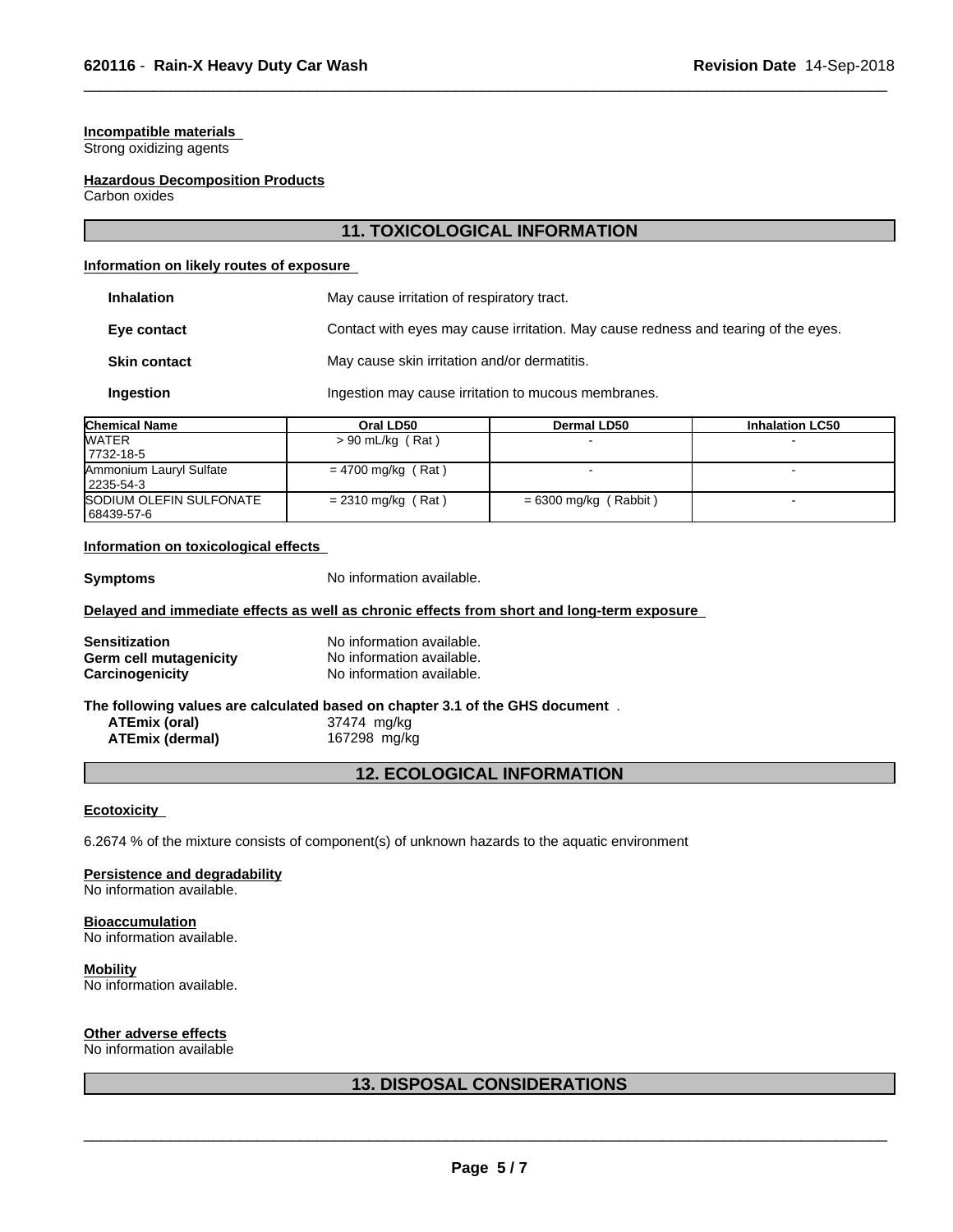# **Incompatible materials**

Strong oxidizing agents

#### **Hazardous Decomposition Products**

Carbon oxides

# **11. TOXICOLOGICAL INFORMATION**

 $\overline{\phantom{a}}$  ,  $\overline{\phantom{a}}$  ,  $\overline{\phantom{a}}$  ,  $\overline{\phantom{a}}$  ,  $\overline{\phantom{a}}$  ,  $\overline{\phantom{a}}$  ,  $\overline{\phantom{a}}$  ,  $\overline{\phantom{a}}$  ,  $\overline{\phantom{a}}$  ,  $\overline{\phantom{a}}$  ,  $\overline{\phantom{a}}$  ,  $\overline{\phantom{a}}$  ,  $\overline{\phantom{a}}$  ,  $\overline{\phantom{a}}$  ,  $\overline{\phantom{a}}$  ,  $\overline{\phantom{a}}$ 

#### **Information on likely routes of exposure**

| .                   |                                                     |                                                                                    |  |  |
|---------------------|-----------------------------------------------------|------------------------------------------------------------------------------------|--|--|
| Ingestion           | Ingestion may cause irritation to mucous membranes. |                                                                                    |  |  |
| <b>Skin contact</b> | May cause skin irritation and/or dermatitis.        |                                                                                    |  |  |
| Eye contact         |                                                     | Contact with eyes may cause irritation. May cause redness and tearing of the eyes. |  |  |
| <b>Inhalation</b>   | May cause irritation of respiratory tract.          |                                                                                    |  |  |

| <b>Chemical Name</b>                  | Oral LD50            | Dermal LD50           | <b>Inhalation LC50</b> |  |
|---------------------------------------|----------------------|-----------------------|------------------------|--|
| <b>WATER</b>                          | $> 90$ mL/kg (Rat)   |                       |                        |  |
| 17732-18-5                            |                      |                       |                        |  |
| Ammonium Lauryl Sulfate<br>2235-54-3  | $= 4700$ mg/kg (Rat) |                       |                        |  |
| SODIUM OLEFIN SULFONATE<br>68439-57-6 | $= 2310$ mg/kg (Rat) | = 6300 mg/kg (Rabbit) |                        |  |

# **Information on toxicological effects**

**Symptoms** No information available.

## **Delayed and immediate effects as well as chronic effects from short and long-term exposure**

| No information available. |
|---------------------------|
| No information available. |
| No information available. |
|                           |

#### **The following values are calculated based on chapter 3.1 of the GHS document** .

**ATEmix (oral)** 37474 mg/kg **ATEmix (dermal)**167298 mg/kg

# **12. ECOLOGICAL INFORMATION**

#### **Ecotoxicity**

6.2674 % of the mixture consists of component(s) of unknown hazards to the aquatic environment

# **Persistence and degradability**

No information available.

**Bioaccumulation**

No information available.

#### **Mobility**

No information available.

# **Other adverse effects**

No information available

# **13. DISPOSAL CONSIDERATIONS**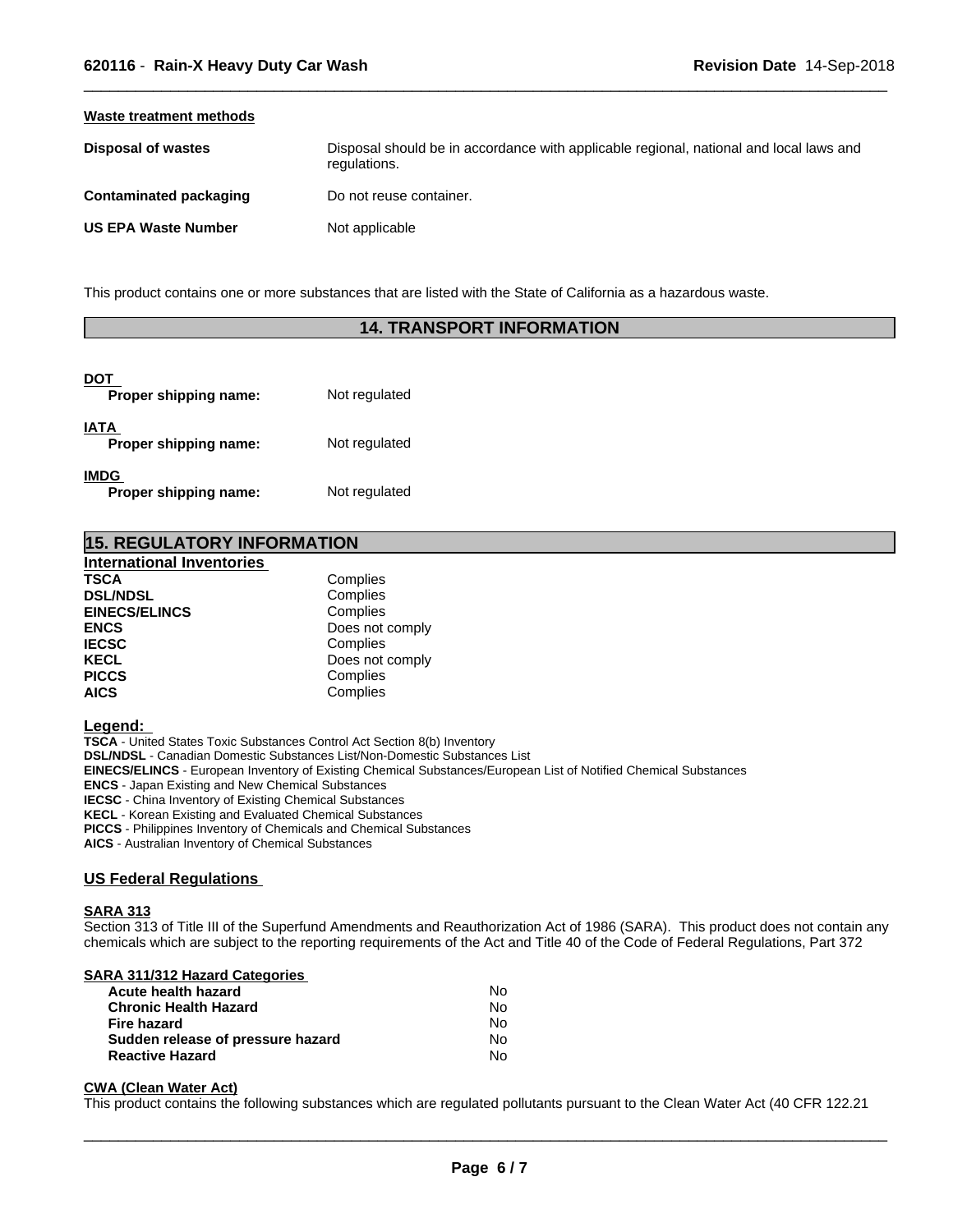#### **Waste treatment methods**

| Disposal of wastes            | Disposal should be in accordance with applicable regional, national and local laws and<br>regulations. |
|-------------------------------|--------------------------------------------------------------------------------------------------------|
| <b>Contaminated packaging</b> | Do not reuse container.                                                                                |
| <b>US EPA Waste Number</b>    | Not applicable                                                                                         |

 $\overline{\phantom{a}}$  ,  $\overline{\phantom{a}}$  ,  $\overline{\phantom{a}}$  ,  $\overline{\phantom{a}}$  ,  $\overline{\phantom{a}}$  ,  $\overline{\phantom{a}}$  ,  $\overline{\phantom{a}}$  ,  $\overline{\phantom{a}}$  ,  $\overline{\phantom{a}}$  ,  $\overline{\phantom{a}}$  ,  $\overline{\phantom{a}}$  ,  $\overline{\phantom{a}}$  ,  $\overline{\phantom{a}}$  ,  $\overline{\phantom{a}}$  ,  $\overline{\phantom{a}}$  ,  $\overline{\phantom{a}}$ 

This product contains one or more substances that are listed with the State of California as a hazardous waste.

# **14. TRANSPORT INFORMATION**

| DOT<br>Proper shipping name:         | Not regulated |
|--------------------------------------|---------------|
| <b>IATA</b><br>Proper shipping name: | Not regulated |
| <b>IMDG</b><br>Proper shipping name: | Not regulated |

| <b>15. REGULATORY INFORMATION</b> |                 |  |
|-----------------------------------|-----------------|--|
| <b>International Inventories</b>  |                 |  |
| <b>TSCA</b>                       | Complies        |  |
| <b>DSL/NDSL</b>                   | Complies        |  |
| <b>EINECS/ELINCS</b>              | Complies        |  |
| <b>ENCS</b>                       | Does not comply |  |
| <b>IECSC</b>                      | Complies        |  |
| <b>KECL</b>                       | Does not comply |  |
| <b>PICCS</b>                      | Complies        |  |
| <b>AICS</b>                       | Complies        |  |

#### **Legend:**

**TSCA** - United States Toxic Substances Control Act Section 8(b) Inventory **DSL/NDSL** - Canadian Domestic Substances List/Non-Domestic Substances List **EINECS/ELINCS** - European Inventory of Existing Chemical Substances/European List of Notified Chemical Substances **ENCS** - Japan Existing and New Chemical Substances **IECSC** - China Inventory of Existing Chemical Substances **KECL** - Korean Existing and Evaluated Chemical Substances **PICCS** - Philippines Inventory of Chemicals and Chemical Substances

**AICS** - Australian Inventory of Chemical Substances

## **US Federal Regulations**

#### **SARA 313**

Section 313 of Title III of the Superfund Amendments and Reauthorization Act of 1986 (SARA). This product does not contain any chemicals which are subject to the reporting requirements of the Act and Title 40 of the Code of Federal Regulations, Part 372

# **SARA 311/312 Hazard Categories**

| Acute health hazard               | Nο  |
|-----------------------------------|-----|
| <b>Chronic Health Hazard</b>      | No. |
| Fire hazard                       | Nο  |
| Sudden release of pressure hazard | N٥  |
| <b>Reactive Hazard</b>            | N٥  |

#### **CWA (Clean WaterAct)**

This product contains the following substances which are regulated pollutants pursuant to the Clean Water Act (40 CFR 122.21